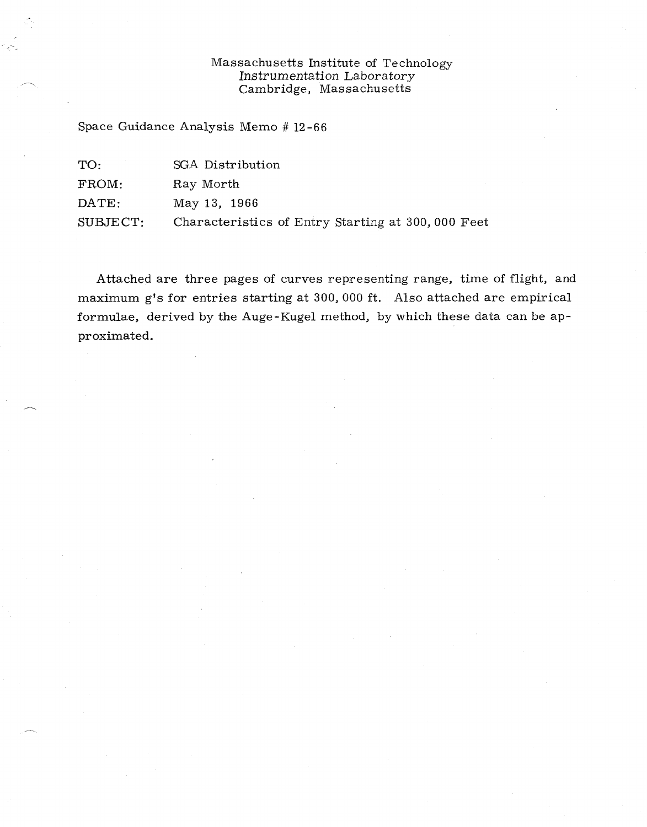## Massachusetts Institute of Technology Instrumentation Laboratory Cambridge, Massachusetts

Space Guidance Analysis Memo # 12-66

| TO.            | SGA Distribution                                  |
|----------------|---------------------------------------------------|
| FROM:          | Ray Morth                                         |
| $\text{DATE:}$ | May 13, 1966                                      |
| SUBJECT:       | Characteristics of Entry Starting at 300,000 Feet |

Attached are three pages of curves representing range, time of flight, and maximum g's for entries starting at 300, 000 ft. Also attached are empirical formulae, derived by the Auge-Kugel method, by which these data can be approximated.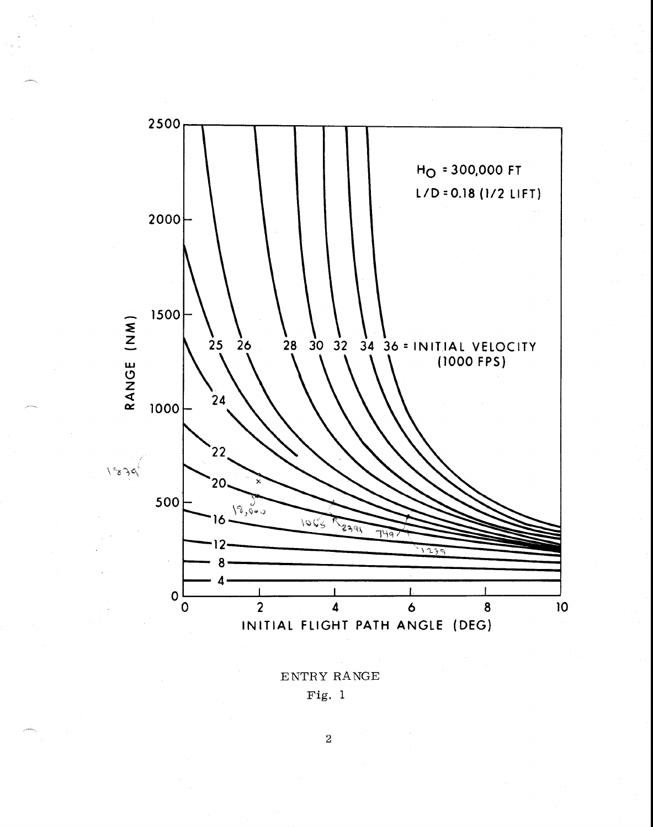

ENTRY RANGE Fig. 1

2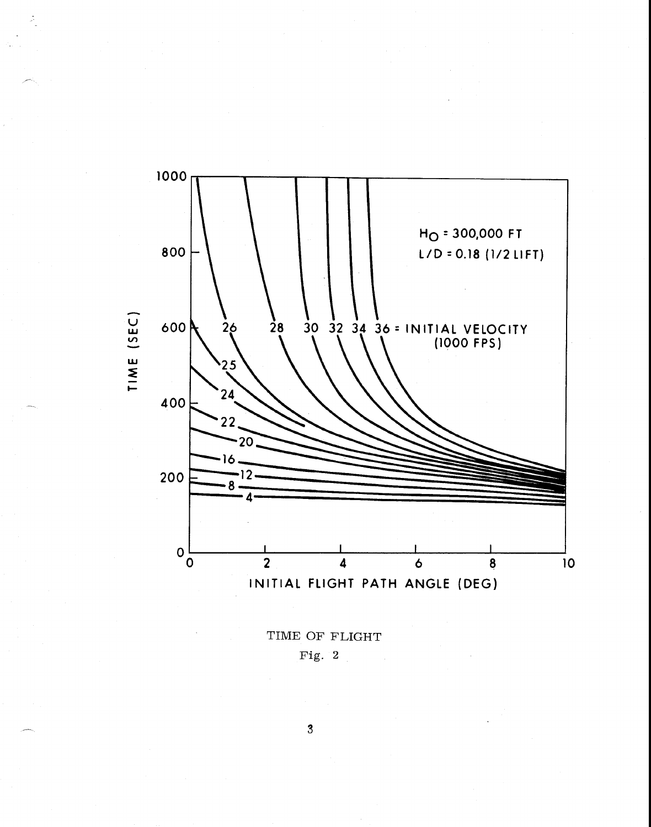

TIME OF FLIGHT Fig. 2

 $\overline{3}$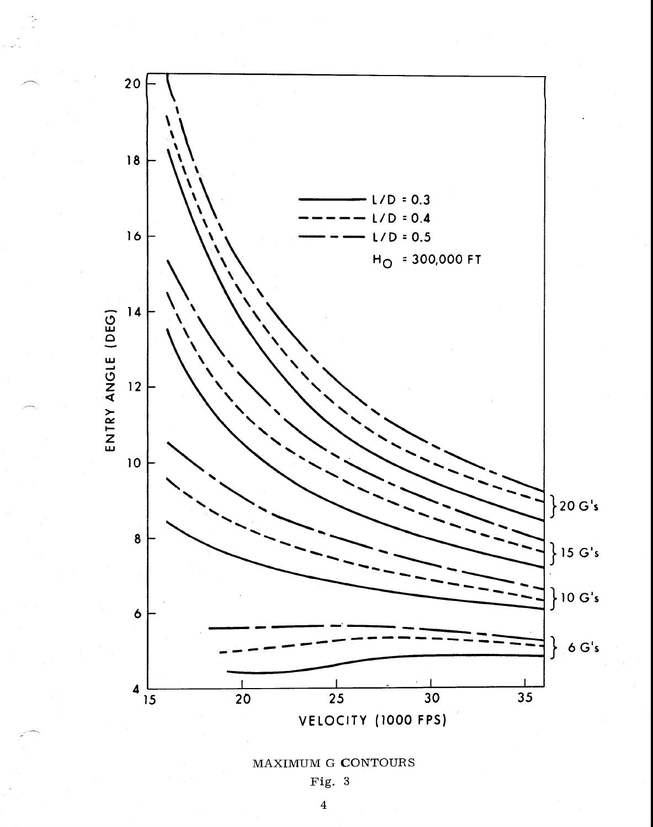

## MAXIMUM G CONTOURS

Fig. 3